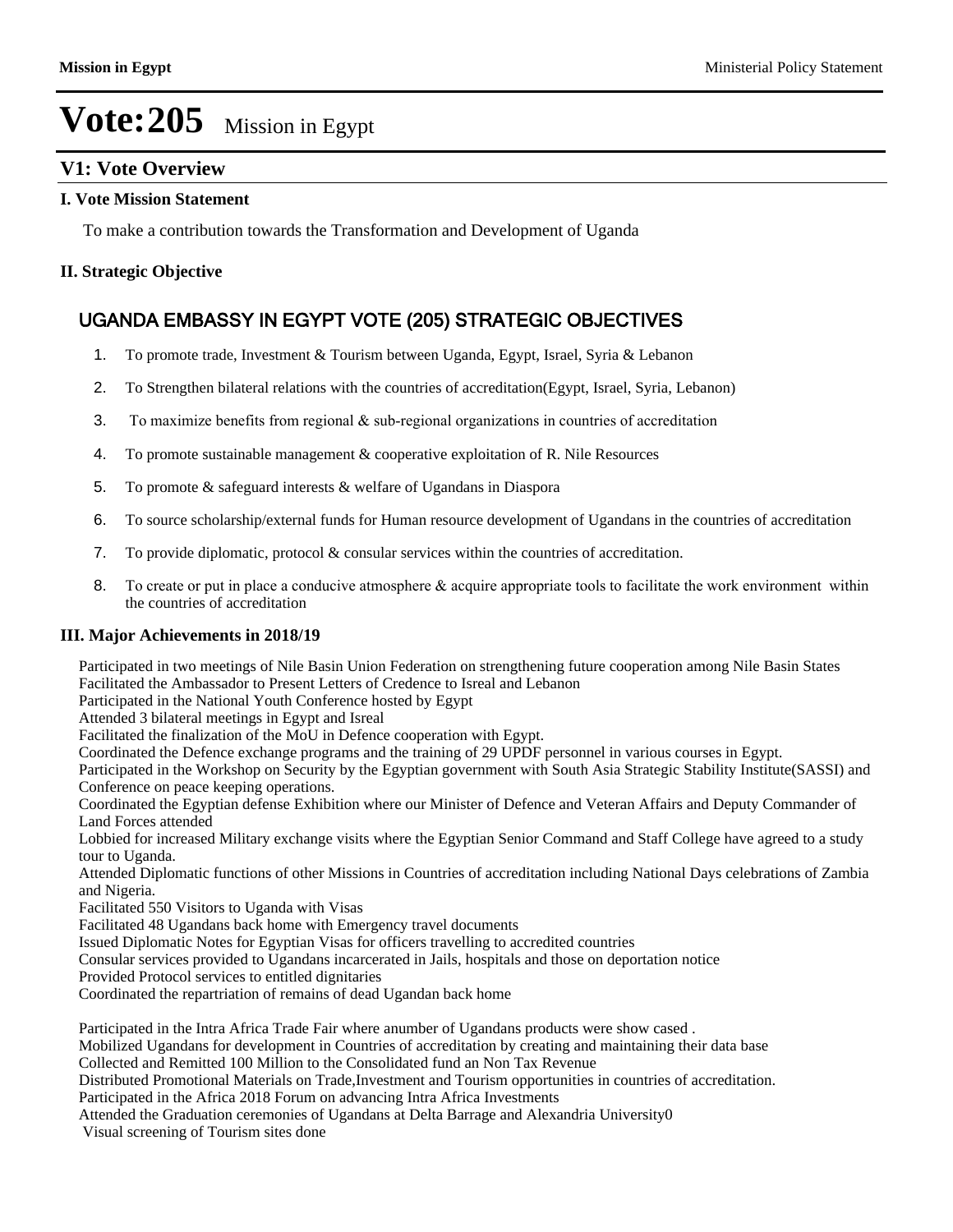### **V1: Vote Overview**

#### **I. Vote Mission Statement**

To make a contribution towards the Transformation and Development of Uganda

#### **II. Strategic Objective**

### UGANDA EMBASSY IN EGYPT VOTE (205) STRATEGIC OBJECTIVES

- 1. To promote trade, Investment & Tourism between Uganda, Egypt, Israel, Syria & Lebanon
- 2. To Strengthen bilateral relations with the countries of accreditation(Egypt, Israel, Syria, Lebanon)
- 3. To maximize benefits from regional  $\&$  sub-regional organizations in countries of accreditation
- 4. To promote sustainable management & cooperative exploitation of R. Nile Resources
- 5. To promote & safeguard interests & welfare of Ugandans in Diaspora
- 6. To source scholarship/external funds for Human resource development of Ugandans in the countries of accreditation
- 7. To provide diplomatic, protocol & consular services within the countries of accreditation.
- 8. To create or put in place a conducive atmosphere & acquire appropriate tools to facilitate the work environment within the countries of accreditation

#### **III. Major Achievements in 2018/19**

Participated in two meetings of Nile Basin Union Federation on strengthening future cooperation among Nile Basin States Facilitated the Ambassador to Present Letters of Credence to Isreal and Lebanon

Participated in the National Youth Conference hosted by Egypt

Attended 3 bilateral meetings in Egypt and Isreal

Facilitated the finalization of the MoU in Defence cooperation with Egypt.

Coordinated the Defence exchange programs and the training of 29 UPDF personnel in various courses in Egypt.

Participated in the Workshop on Security by the Egyptian government with South Asia Strategic Stability Institute(SASSI) and Conference on peace keeping operations.

Coordinated the Egyptian defense Exhibition where our Minister of Defence and Veteran Affairs and Deputy Commander of Land Forces attended

Lobbied for increased Military exchange visits where the Egyptian Senior Command and Staff College have agreed to a study tour to Uganda.

Attended Diplomatic functions of other Missions in Countries of accreditation including National Days celebrations of Zambia and Nigeria.

Facilitated 550 Visitors to Uganda with Visas

Facilitated 48 Ugandans back home with Emergency travel documents

Issued Diplomatic Notes for Egyptian Visas for officers travelling to accredited countries

Consular services provided to Ugandans incarcerated in Jails, hospitals and those on deportation notice

Provided Protocol services to entitled dignitaries

Coordinated the repartriation of remains of dead Ugandan back home

Participated in the Intra Africa Trade Fair where anumber of Ugandans products were show cased .

Mobilized Ugandans for development in Countries of accreditation by creating and maintaining their data base

Collected and Remitted 100 Million to the Consolidated fund an Non Tax Revenue

Distributed Promotional Materials on Trade,Investment and Tourism opportunities in countries of accreditation.

Participated in the Africa 2018 Forum on advancing Intra Africa Investments

Attended the Graduation ceremonies of Ugandans at Delta Barrage and Alexandria University0

Visual screening of Tourism sites done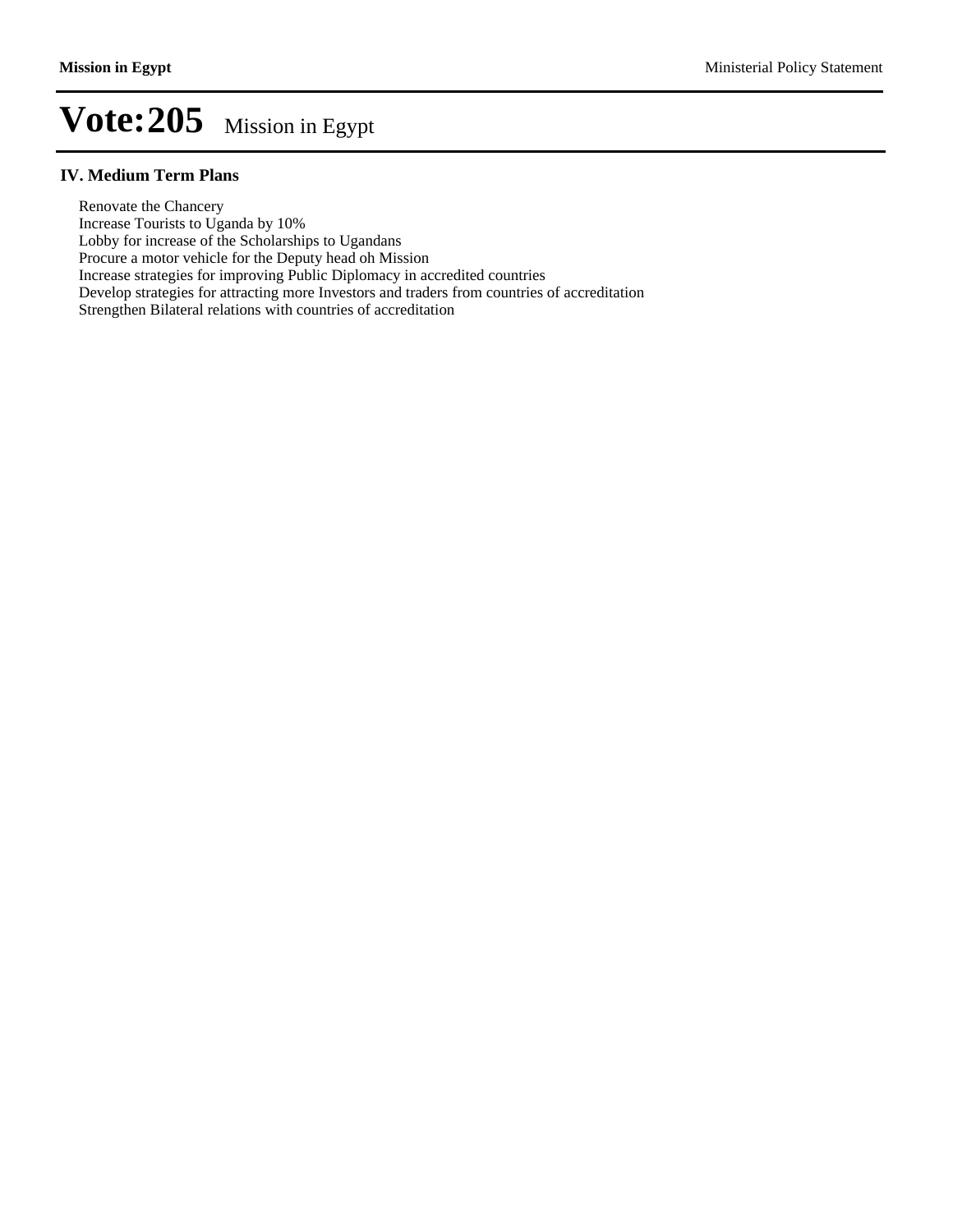#### **IV. Medium Term Plans**

Renovate the Chancery

Increase Tourists to Uganda by 10%

Lobby for increase of the Scholarships to Ugandans

Procure a motor vehicle for the Deputy head oh Mission

Increase strategies for improving Public Diplomacy in accredited countries

Develop strategies for attracting more Investors and traders from countries of accreditation

At the Graduation ceremonics of Ugandans at Delta Barrage and  $\Delta$ 

Strengthen Bilateral relations with countries of accreditation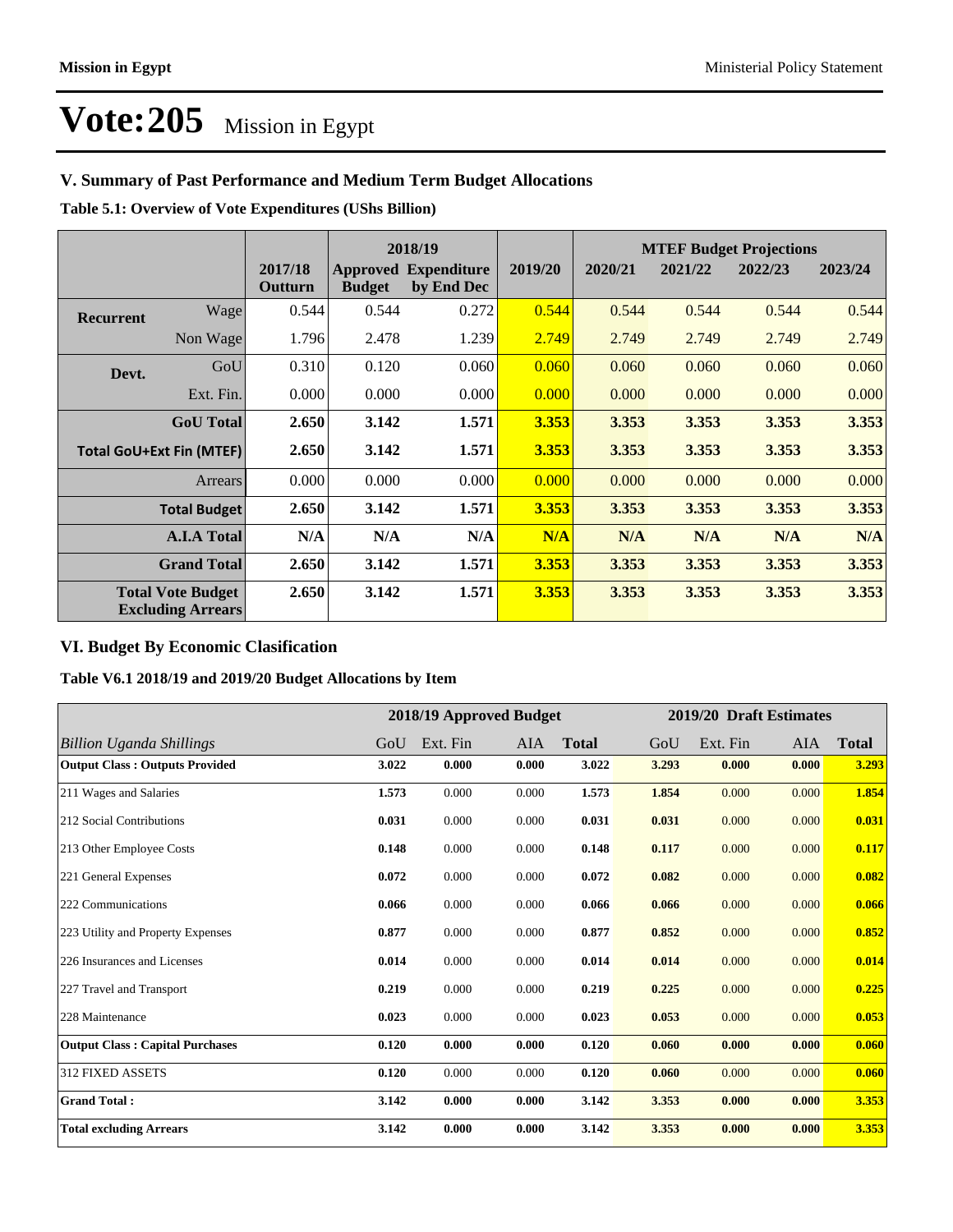### **V. Summary of Past Performance and Medium Term Budget Allocations**

**Table 5.1: Overview of Vote Expenditures (UShs Billion)**

|                                                      |                  |                    |               | 2018/19                                   |         | <b>MTEF Budget Projections</b> |         |         |         |
|------------------------------------------------------|------------------|--------------------|---------------|-------------------------------------------|---------|--------------------------------|---------|---------|---------|
|                                                      |                  | 2017/18<br>Outturn | <b>Budget</b> | <b>Approved Expenditure</b><br>by End Dec | 2019/20 | 2020/21                        | 2021/22 | 2022/23 | 2023/24 |
| <b>Recurrent</b>                                     | Wage             | 0.544              | 0.544         | 0.272                                     | 0.544   | 0.544                          | 0.544   | 0.544   | 0.544   |
|                                                      | Non Wage         | 1.796              | 2.478         | 1.239                                     | 2.749   | 2.749                          | 2.749   | 2.749   | 2.749   |
| Devt.                                                | GoU              | 0.310              | 0.120         | 0.060                                     | 0.060   | 0.060                          | 0.060   | 0.060   | 0.060   |
|                                                      | Ext. Fin.        | 0.000              | 0.000         | 0.000                                     | 0.000   | 0.000                          | 0.000   | 0.000   | 0.000   |
|                                                      | <b>GoU</b> Total | 2.650              | 3.142         | 1.571                                     | 3.353   | 3.353                          | 3.353   | 3.353   | 3.353   |
| <b>Total GoU+Ext Fin (MTEF)</b>                      |                  | 2.650              | 3.142         | 1.571                                     | 3.353   | 3.353                          | 3.353   | 3.353   | 3.353   |
| Arrears                                              |                  | 0.000              | 0.000         | 0.000                                     | 0.000   | 0.000                          | 0.000   | 0.000   | 0.000   |
| <b>Total Budget</b>                                  |                  | 2.650              | 3.142         | 1.571                                     | 3.353   | 3.353                          | 3.353   | 3.353   | 3.353   |
| <b>A.I.A Total</b>                                   |                  | N/A                | N/A           | N/A                                       | N/A     | N/A                            | N/A     | N/A     | N/A     |
| <b>Grand Total</b>                                   |                  | 2.650              | 3.142         | 1.571                                     | 3.353   | 3.353                          | 3.353   | 3.353   | 3.353   |
| <b>Total Vote Budget</b><br><b>Excluding Arrears</b> |                  | 2.650              | 3.142         | 1.571                                     | 3.353   | 3.353                          | 3.353   | 3.353   | 3.353   |

#### **VI. Budget By Economic Clasification**

#### **Table V6.1 2018/19 and 2019/20 Budget Allocations by Item**

|                                        |       | 2018/19 Approved Budget |       |              |       | 2019/20 Draft Estimates |       |              |
|----------------------------------------|-------|-------------------------|-------|--------------|-------|-------------------------|-------|--------------|
| <b>Billion Uganda Shillings</b>        | GoU   | Ext. Fin                | AIA   | <b>Total</b> | GoU   | Ext. Fin                | AIA   | <b>Total</b> |
| <b>Output Class: Outputs Provided</b>  | 3.022 | 0.000                   | 0.000 | 3.022        | 3.293 | 0.000                   | 0.000 | 3.293        |
| 211 Wages and Salaries                 | 1.573 | 0.000                   | 0.000 | 1.573        | 1.854 | 0.000                   | 0.000 | 1.854        |
| 212 Social Contributions               | 0.031 | 0.000                   | 0.000 | 0.031        | 0.031 | 0.000                   | 0.000 | 0.031        |
| 213 Other Employee Costs               | 0.148 | 0.000                   | 0.000 | 0.148        | 0.117 | 0.000                   | 0.000 | 0.117        |
| 221 General Expenses                   | 0.072 | 0.000                   | 0.000 | 0.072        | 0.082 | 0.000                   | 0.000 | 0.082        |
| 222 Communications                     | 0.066 | 0.000                   | 0.000 | 0.066        | 0.066 | 0.000                   | 0.000 | 0.066        |
| 223 Utility and Property Expenses      | 0.877 | 0.000                   | 0.000 | 0.877        | 0.852 | 0.000                   | 0.000 | 0.852        |
| 226 Insurances and Licenses            | 0.014 | 0.000                   | 0.000 | 0.014        | 0.014 | 0.000                   | 0.000 | 0.014        |
| 227 Travel and Transport               | 0.219 | 0.000                   | 0.000 | 0.219        | 0.225 | 0.000                   | 0.000 | 0.225        |
| 228 Maintenance                        | 0.023 | 0.000                   | 0.000 | 0.023        | 0.053 | 0.000                   | 0.000 | 0.053        |
| <b>Output Class: Capital Purchases</b> | 0.120 | 0.000                   | 0.000 | 0.120        | 0.060 | 0.000                   | 0.000 | 0.060        |
| <b>312 FIXED ASSETS</b>                | 0.120 | 0.000                   | 0.000 | 0.120        | 0.060 | 0.000                   | 0.000 | 0.060        |
| <b>Grand Total:</b>                    | 3.142 | 0.000                   | 0.000 | 3.142        | 3.353 | 0.000                   | 0.000 | 3.353        |
| <b>Total excluding Arrears</b>         | 3.142 | 0.000                   | 0.000 | 3.142        | 3.353 | 0.000                   | 0.000 | 3.353        |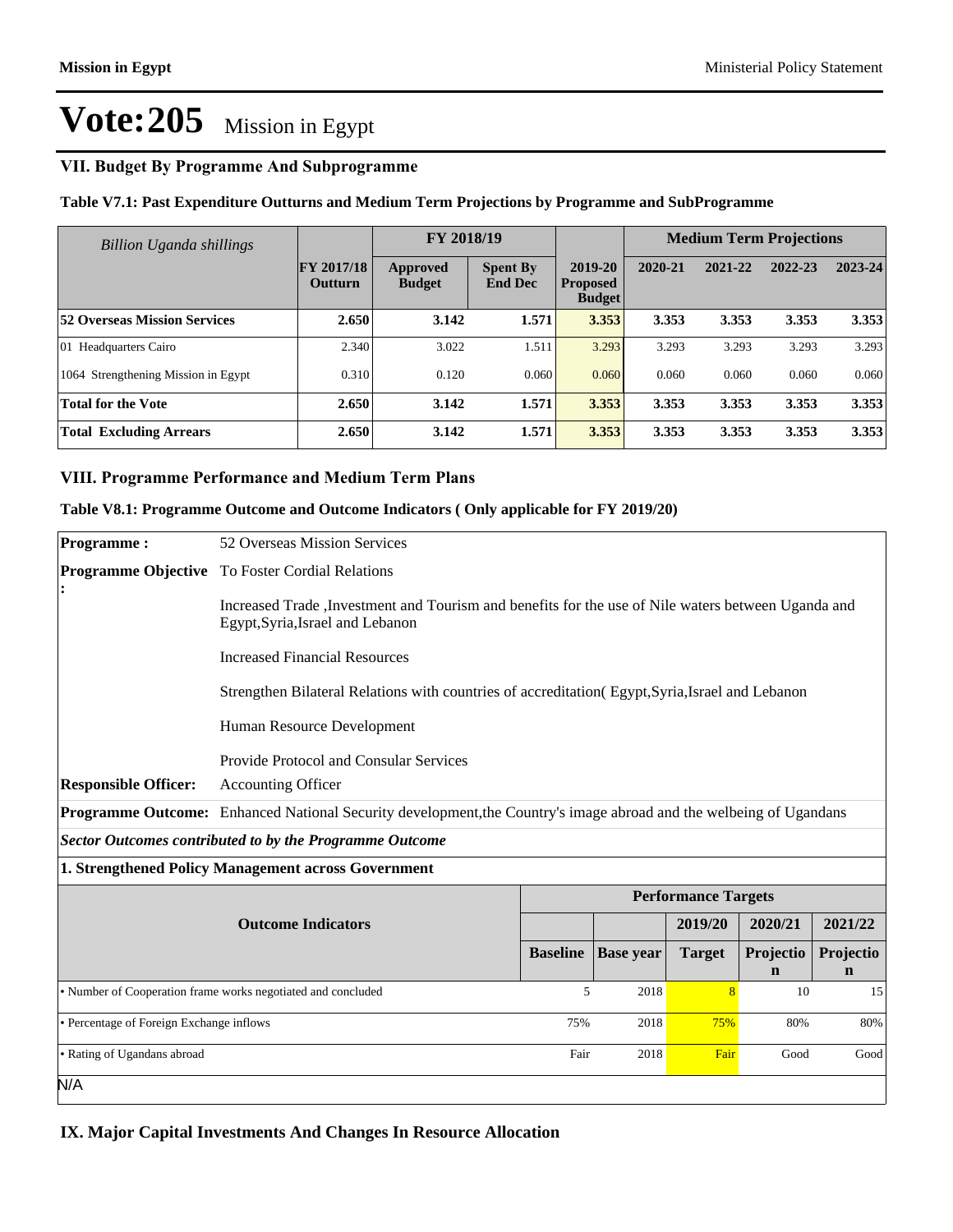#### **VII. Budget By Programme And Subprogramme**

#### **Table V7.1: Past Expenditure Outturns and Medium Term Projections by Programme and SubProgramme**

| Billion Uganda shillings            |                                     | FY 2018/19                |                                   |                                             | <b>Medium Term Projections</b> |         |         |         |
|-------------------------------------|-------------------------------------|---------------------------|-----------------------------------|---------------------------------------------|--------------------------------|---------|---------|---------|
|                                     | <b>FY 2017/18</b><br><b>Outturn</b> | Approved<br><b>Budget</b> | <b>Spent By</b><br><b>End Dec</b> | 2019-20<br><b>Proposed</b><br><b>Budget</b> | 2020-21                        | 2021-22 | 2022-23 | 2023-24 |
| <b>52 Overseas Mission Services</b> | 2.650                               | 3.142                     | 1.571                             | 3.353                                       | 3.353                          | 3.353   | 3.353   | 3.353   |
| 01 Headquarters Cairo               | 2.340                               | 3.022                     | 1.511                             | 3.293                                       | 3.293                          | 3.293   | 3.293   | 3.293   |
| 1064 Strengthening Mission in Egypt | 0.310                               | 0.120                     | 0.060                             | 0.060                                       | 0.060                          | 0.060   | 0.060   | 0.060   |
| <b>Total for the Vote</b>           | 2.650                               | 3.142                     | 1.571                             | 3.353                                       | 3.353                          | 3.353   | 3.353   | 3.353   |
| <b>Total Excluding Arrears</b>      | 2.650                               | 3.142                     | 1.571                             | 3.353                                       | 3.353                          | 3.353   | 3.353   | 3.353   |

#### **VIII. Programme Performance and Medium Term Plans**

#### **Table V8.1: Programme Outcome and Outcome Indicators ( Only applicable for FY 2019/20)**

| <b>Programme:</b>                                       | 52 Overseas Mission Services                                                                                                            |                 |                  |                            |                          |                          |  |  |
|---------------------------------------------------------|-----------------------------------------------------------------------------------------------------------------------------------------|-----------------|------------------|----------------------------|--------------------------|--------------------------|--|--|
|                                                         | <b>Programme Objective</b> To Foster Cordial Relations                                                                                  |                 |                  |                            |                          |                          |  |  |
|                                                         | Increased Trade , Investment and Tourism and benefits for the use of Nile waters between Uganda and<br>Egypt, Syria, Israel and Lebanon |                 |                  |                            |                          |                          |  |  |
|                                                         | <b>Increased Financial Resources</b>                                                                                                    |                 |                  |                            |                          |                          |  |  |
|                                                         | Strengthen Bilateral Relations with countries of accreditation (Egypt, Syria, Israel and Lebanon                                        |                 |                  |                            |                          |                          |  |  |
|                                                         | Human Resource Development                                                                                                              |                 |                  |                            |                          |                          |  |  |
|                                                         | Provide Protocol and Consular Services                                                                                                  |                 |                  |                            |                          |                          |  |  |
| <b>Responsible Officer:</b>                             | <b>Accounting Officer</b>                                                                                                               |                 |                  |                            |                          |                          |  |  |
|                                                         | Programme Outcome: Enhanced National Security development, the Country's image abroad and the welbeing of Ugandans                      |                 |                  |                            |                          |                          |  |  |
| Sector Outcomes contributed to by the Programme Outcome |                                                                                                                                         |                 |                  |                            |                          |                          |  |  |
|                                                         | 1. Strengthened Policy Management across Government                                                                                     |                 |                  |                            |                          |                          |  |  |
|                                                         |                                                                                                                                         |                 |                  | <b>Performance Targets</b> |                          |                          |  |  |
|                                                         | <b>Outcome Indicators</b>                                                                                                               |                 |                  | 2019/20                    | 2020/21                  | 2021/22                  |  |  |
|                                                         |                                                                                                                                         | <b>Baseline</b> | <b>Base</b> year | <b>Target</b>              | Projectio<br>$\mathbf n$ | Projectio<br>$\mathbf n$ |  |  |
|                                                         | • Number of Cooperation frame works negotiated and concluded                                                                            | 5               | 2018             | 8                          | 10                       | 15                       |  |  |
| • Percentage of Foreign Exchange inflows                |                                                                                                                                         |                 | 2018             | 75%                        | 80%                      | 80%                      |  |  |
| • Rating of Ugandans abroad                             |                                                                                                                                         | Fair            | 2018             | Fair                       | Good                     | Good                     |  |  |
| N/A                                                     |                                                                                                                                         |                 |                  |                            |                          |                          |  |  |

#### **IX. Major Capital Investments And Changes In Resource Allocation**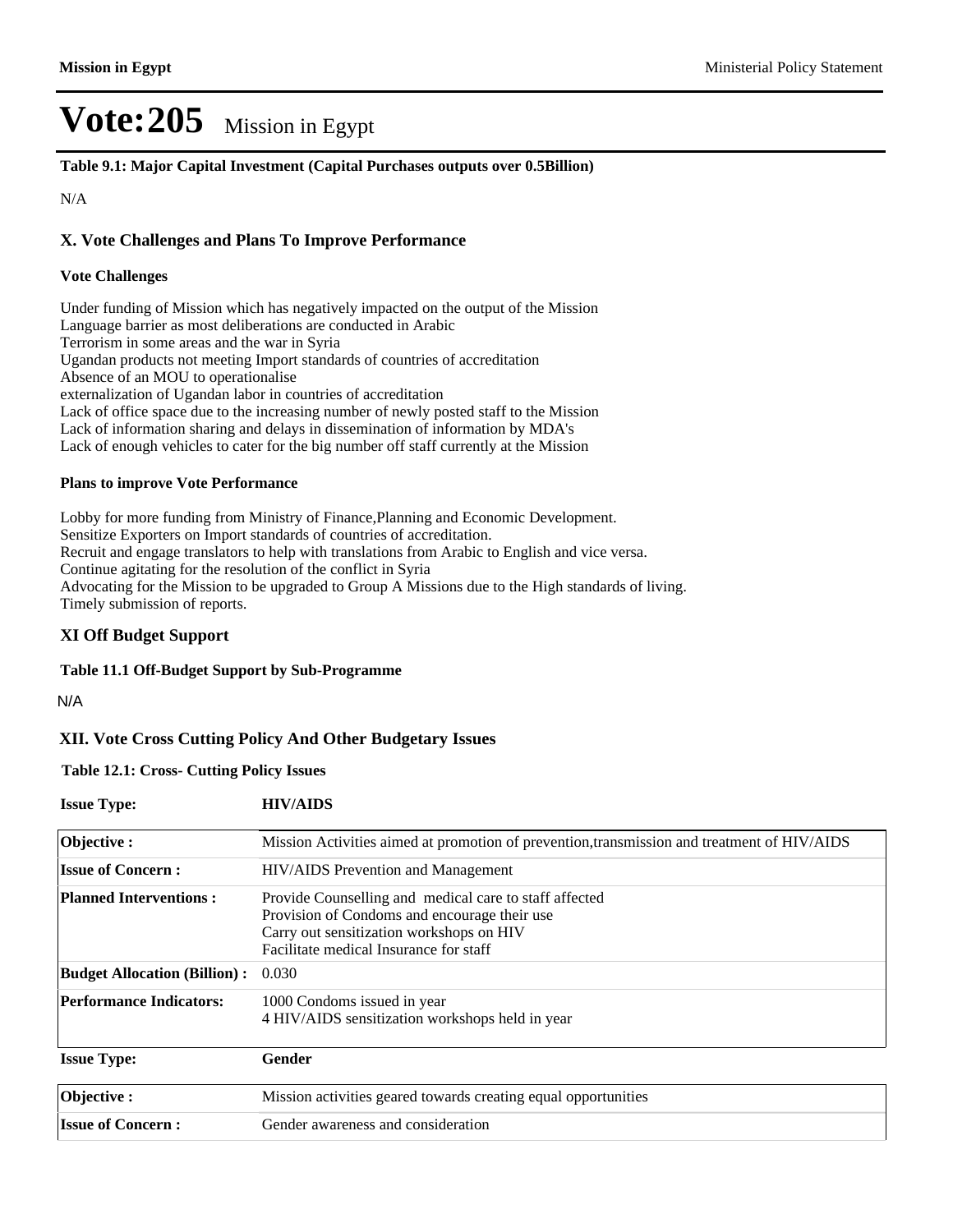**Table 9.1: Major Capital Investment (Capital Purchases outputs over 0.5Billion)**

N/A

#### **X. Vote Challenges and Plans To Improve Performance**

#### **Vote Challenges**

Under funding of Mission which has negatively impacted on the output of the Mission Language barrier as most deliberations are conducted in Arabic Terrorism in some areas and the war in Syria Ugandan products not meeting Import standards of countries of accreditation Absence of an MOU to operationalise externalization of Ugandan labor in countries of accreditation Lack of office space due to the increasing number of newly posted staff to the Mission Lack of information sharing and delays in dissemination of information by MDA's Lack of enough vehicles to cater for the big number off staff currently at the Mission

#### **Plans to improve Vote Performance**

Lobby for more funding from Ministry of Finance,Planning and Economic Development. Sensitize Exporters on Import standards of countries of accreditation. Recruit and engage translators to help with translations from Arabic to English and vice versa. Continue agitating for the resolution of the conflict in Syria Advocating for the Mission to be upgraded to Group A Missions due to the High standards of living. Timely submission of reports.

#### **XI Off Budget Support**

#### **Table 11.1 Off-Budget Support by Sub-Programme**

N/A

#### **XII. Vote Cross Cutting Policy And Other Budgetary Issues**

**Table 12.1: Cross- Cutting Policy Issues**

| <b>Issue Type:</b>                  | <b>HIV/AIDS</b>                                                                             |
|-------------------------------------|---------------------------------------------------------------------------------------------|
| Objective:                          | Mission Activities aimed at promotion of prevention, transmission and treatment of HIV/AIDS |
| <b>Issue of Concern:</b>            | HIV/AIDS Prevention and Management                                                          |
| <b>Planned Interventions:</b>       | Provide Counselling and medical care to staff affected                                      |
|                                     | Provision of Condoms and encourage their use                                                |
|                                     | Carry out sensitization workshops on HIV                                                    |
|                                     | Facilitate medical Insurance for staff                                                      |
| <b>Budget Allocation (Billion):</b> | 0.030                                                                                       |
| <b>Performance Indicators:</b>      | 1000 Condoms issued in year                                                                 |
|                                     | 4 HIV/AIDS sensitization workshops held in year                                             |
| <b>Issue Type:</b>                  | Gender                                                                                      |
| Objective:                          | Mission activities geared towards creating equal opportunities                              |
| <b>Issue of Concern:</b>            | Gender awareness and consideration                                                          |